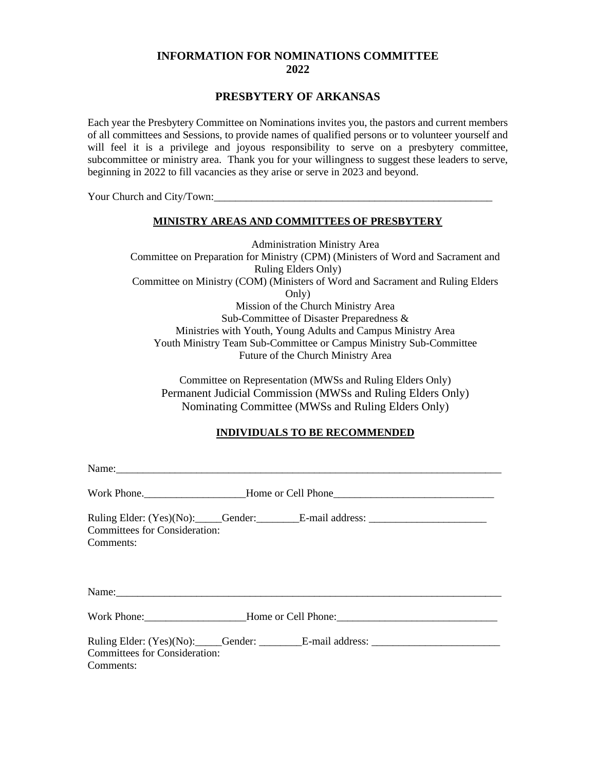## **INFORMATION FOR NOMINATIONS COMMITTEE 2022**

## **PRESBYTERY OF ARKANSAS**

Each year the Presbytery Committee on Nominations invites you, the pastors and current members of all committees and Sessions, to provide names of qualified persons or to volunteer yourself and will feel it is a privilege and joyous responsibility to serve on a presbytery committee, subcommittee or ministry area. Thank you for your willingness to suggest these leaders to serve, beginning in 2022 to fill vacancies as they arise or serve in 2023 and beyond.

Your Church and City/Town:

#### **MINISTRY AREAS AND COMMITTEES OF PRESBYTERY**

Administration Ministry Area Committee on Preparation for Ministry (CPM) (Ministers of Word and Sacrament and Ruling Elders Only) Committee on Ministry (COM) (Ministers of Word and Sacrament and Ruling Elders Only) Mission of the Church Ministry Area Sub-Committee of Disaster Preparedness & Ministries with Youth, Young Adults and Campus Ministry Area Youth Ministry Team Sub-Committee or Campus Ministry Sub-Committee Future of the Church Ministry Area

Committee on Representation (MWSs and Ruling Elders Only) Permanent Judicial Commission (MWSs and Ruling Elders Only) Nominating Committee (MWSs and Ruling Elders Only)

### **INDIVIDUALS TO BE RECOMMENDED**

| <b>Committees for Consideration:</b><br>Comments: | Ruling Elder: (Yes)(No): Gender: E-mail address: ________________________________ |  |
|---------------------------------------------------|-----------------------------------------------------------------------------------|--|
|                                                   |                                                                                   |  |
|                                                   |                                                                                   |  |
| <b>Committees for Consideration:</b><br>Comments: | Ruling Elder: (Yes)(No): Gender: E-mail address: ________________________________ |  |